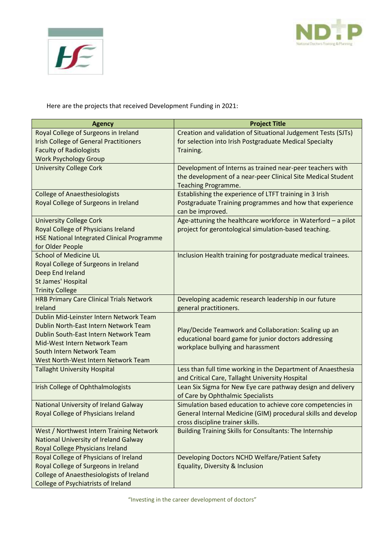



Here are the projects that received Development Funding in 2021:

| <b>Agency</b>                                     | <b>Project Title</b>                                            |
|---------------------------------------------------|-----------------------------------------------------------------|
| Royal College of Surgeons in Ireland              | Creation and validation of Situational Judgement Tests (SJTs)   |
| <b>Irish College of General Practitioners</b>     | for selection into Irish Postgraduate Medical Specialty         |
| <b>Faculty of Radiologists</b>                    | Training.                                                       |
| <b>Work Psychology Group</b>                      |                                                                 |
| <b>University College Cork</b>                    | Development of Interns as trained near-peer teachers with       |
|                                                   | the development of a near-peer Clinical Site Medical Student    |
|                                                   | Teaching Programme.                                             |
| <b>College of Anaesthesiologists</b>              | Establishing the experience of LTFT training in 3 Irish         |
| Royal College of Surgeons in Ireland              | Postgraduate Training programmes and how that experience        |
|                                                   | can be improved.                                                |
| <b>University College Cork</b>                    | Age-attuning the healthcare workforce in Waterford - a pilot    |
| Royal College of Physicians Ireland               | project for gerontological simulation-based teaching.           |
| <b>HSE National Integrated Clinical Programme</b> |                                                                 |
| for Older People                                  |                                                                 |
| <b>School of Medicine UL</b>                      | Inclusion Health training for postgraduate medical trainees.    |
| Royal College of Surgeons in Ireland              |                                                                 |
| Deep End Ireland                                  |                                                                 |
| St James' Hospital                                |                                                                 |
| <b>Trinity College</b>                            |                                                                 |
| <b>HRB Primary Care Clinical Trials Network</b>   | Developing academic research leadership in our future           |
| Ireland                                           | general practitioners.                                          |
| Dublin Mid-Leinster Intern Network Team           |                                                                 |
| Dublin North-East Intern Network Team             | Play/Decide Teamwork and Collaboration: Scaling up an           |
| Dublin South-East Intern Network Team             | educational board game for junior doctors addressing            |
| Mid-West Intern Network Team                      | workplace bullying and harassment                               |
| South Intern Network Team                         |                                                                 |
| West North-West Intern Network Team               |                                                                 |
| <b>Tallaght University Hospital</b>               | Less than full time working in the Department of Anaesthesia    |
|                                                   | and Critical Care, Tallaght University Hospital                 |
| Irish College of Ophthalmologists                 | Lean Six Sigma for New Eye care pathway design and delivery     |
|                                                   | of Care by Ophthalmic Specialists                               |
| <b>National University of Ireland Galway</b>      | Simulation based education to achieve core competencies in      |
| Royal College of Physicians Ireland               | General Internal Medicine (GIM) procedural skills and develop   |
|                                                   | cross discipline trainer skills.                                |
| West / Northwest Intern Training Network          | <b>Building Training Skills for Consultants: The Internship</b> |
| <b>National University of Ireland Galway</b>      |                                                                 |
| Royal College Physicians Ireland                  |                                                                 |
| Royal College of Physicians of Ireland            | Developing Doctors NCHD Welfare/Patient Safety                  |
| Royal College of Surgeons in Ireland              | Equality, Diversity & Inclusion                                 |
| <b>College of Anaesthesiologists of Ireland</b>   |                                                                 |
| College of Psychiatrists of Ireland               |                                                                 |